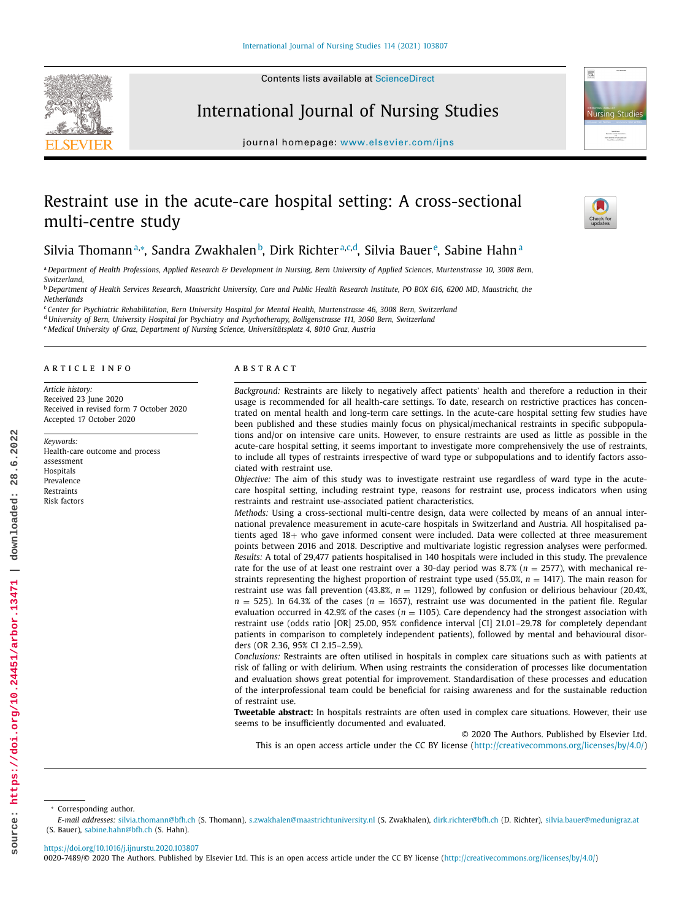Contents lists available at [ScienceDirect](http://www.ScienceDirect.com)

# International Journal of Nursing Studies

journal homepage: [www.elsevier.com/ijns](http://www.elsevier.com/ijns)

# Restraint use in the acute-care hospital setting: A cross-sectional multi-centre study



**Nursing Studies** 

Silvia Thomannª∗\*, Sandra Zwakhalen<sup>b</sup>, Dirk Richterª<sup>,c,d</sup>, Silvia Bauer°, Sabine Hahnª

a Department of Health Professions, Applied Research & Development in Nursing, Bern University of Applied Sciences, Murtenstrasse 10, 3008 Bern, *Switzerland,*

<sup>b</sup> Department of Health Services Research, Maastricht University, Care and Public Health Research Institute, PO BOX 616, 6200 MD, Maastricht, the *Netherlands*

<sup>c</sup> Center for Psychiatric Rehabilitation. Bern University Hospital for Mental Health. Murtenstrasse 46, 3008 Bern. Switzerland

<sup>d</sup> *University of Bern, University Hospital for Psychiatry and Psychotherapy, Bolligenstrasse 111, 3060 Bern, Switzerland*

<sup>e</sup> *Medical University of Graz, Department of Nursing Science, Universitätsplatz 4, 8010 Graz, Austria*

# a r t i c l e i n f o

*Article history:* Received 23 June 2020 Received in revised form 7 October 2020 Accepted 17 October 2020

*Keywords:* Health-care outcome and process assessment **Hospitals Prevalence** Restraints Risk factors

# a b s t r a c t

*Background:* Restraints are likely to negatively affect patients' health and therefore a reduction in their usage is recommended for all health-care settings. To date, research on restrictive practices has concentrated on mental health and long-term care settings. In the acute-care hospital setting few studies have been published and these studies mainly focus on physical/mechanical restraints in specific subpopulations and/or on intensive care units. However, to ensure restraints are used as little as possible in the acute-care hospital setting, it seems important to investigate more comprehensively the use of restraints, to include all types of restraints irrespective of ward type or subpopulations and to identify factors associated with restraint use.

*Objective:* The aim of this study was to investigate restraint use regardless of ward type in the acutecare hospital setting, including restraint type, reasons for restraint use, process indicators when using restraints and restraint use-associated patient characteristics.

*Methods:* Using a cross-sectional multi-centre design, data were collected by means of an annual international prevalence measurement in acute-care hospitals in Switzerland and Austria. All hospitalised patients aged 18+ who gave informed consent were included. Data were collected at three measurement points between 2016 and 2018. Descriptive and multivariate logistic regression analyses were performed. *Results:* A total of 29,477 patients hospitalised in 140 hospitals were included in this study. The prevalence rate for the use of at least one restraint over a 30-day period was 8.7% (*n* = 2577), with mechanical restraints representing the highest proportion of restraint type used (55.0%,  $n = 1417$ ). The main reason for restraint use was fall prevention (43.8%, *n* = 1129), followed by confusion or delirious behaviour (20.4%,  $n = 525$ ). In 64.3% of the cases ( $n = 1657$ ), restraint use was documented in the patient file. Regular evaluation occurred in 42.9% of the cases ( $n = 1105$ ). Care dependency had the strongest association with restraint use (odds ratio [OR] 25.00, 95% confidence interval [CI] 21.01–29.78 for completely dependant patients in comparison to completely independent patients), followed by mental and behavioural disorders (OR 2.36, 95% CI 2.15–2.59).

*Conclusions:* Restraints are often utilised in hospitals in complex care situations such as with patients at risk of falling or with delirium. When using restraints the consideration of processes like documentation and evaluation shows great potential for improvement. Standardisation of these processes and education of the interprofessional team could be beneficial for raising awareness and for the sustainable reduction of restraint use.

**Tweetable abstract:** In hospitals restraints are often used in complex care situations. However, their use seems to be insufficiently documented and evaluated.

© 2020 The Authors. Published by Elsevier Ltd.

This is an open access article under the CC BY license [\(http://creativecommons.org/licenses/by/4.0/\)](http://creativecommons.org/licenses/by/4.0/)

*E-mail addresses:* [silvia.thomann@bfh.ch](mailto:silvia.thomann@bfh.ch) (S. Thomann), [s.zwakhalen@maastrichtuniversity.nl](mailto:s.zwakhalen@maastrichtuniversity.nl) (S. Zwakhalen), [dirk.richter@bfh.ch](mailto:dirk.richter@bfh.ch) (D. Richter), silvia.bauer@medunigraz.at (S. Bauer), [sabine.hahn@bfh.ch](mailto:sabine.hahn@bfh.ch) (S. Hahn).

<https://doi.org/10.1016/j.ijnurstu.2020.103807>

0020-7489/© 2020 The Authors. Published by Elsevier Ltd. This is an open access article under the CC BY license [\(http://creativecommons.org/licenses/by/4.0/\)](http://creativecommons.org/licenses/by/4.0/)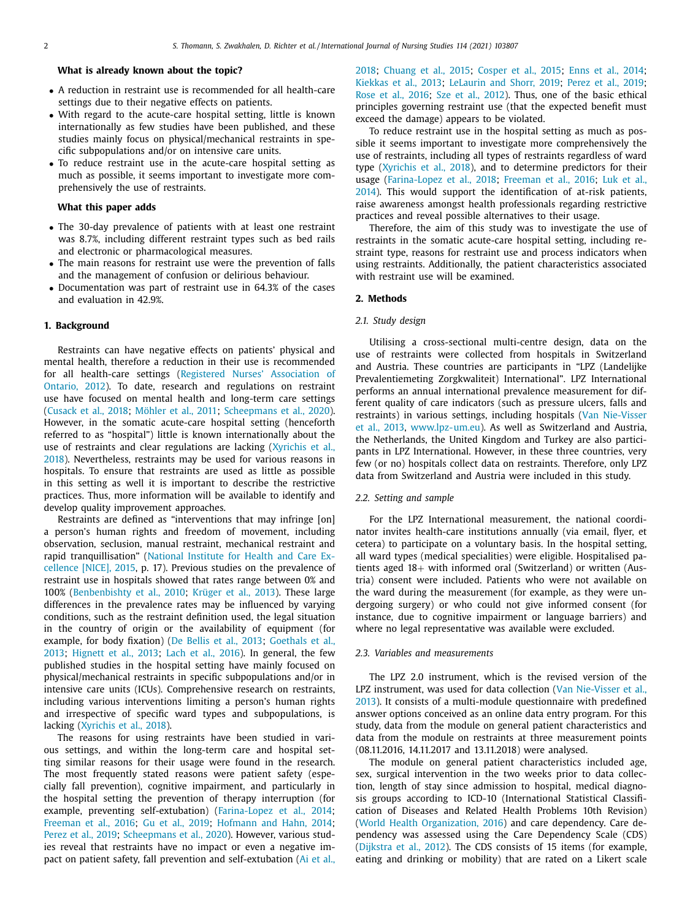# **What is already known about the topic?**

- A reduction in restraint use is recommended for all health-care settings due to their negative effects on patients.
- With regard to the acute-care hospital setting, little is known internationally as few studies have been published, and these studies mainly focus on physical/mechanical restraints in specific subpopulations and/or on intensive care units.
- To reduce restraint use in the acute-care hospital setting as much as possible, it seems important to investigate more comprehensively the use of restraints.

# **What this paper adds**

- The 30-day prevalence of patients with at least one restraint was 8.7%, including different restraint types such as bed rails and electronic or pharmacological measures.
- The main reasons for restraint use were the prevention of falls and the management of confusion or delirious behaviour.
- Documentation was part of restraint use in 64.3% of the cases and evaluation in 42.9%.

## **1. Background**

Restraints can have negative effects on patients' physical and mental health, therefore a reduction in their use is recommended for all health-care settings (Registered Nurses' Association of Ontario, 2012). To date, research and regulations on restraint use have focused on mental health and long-term care settings (Cusack et al., 2018; Möhler et al., 2011; Scheepmans et al., 2020). However, in the somatic acute-care hospital setting (henceforth referred to as "hospital") little is known internationally about the use of restraints and clear regulations are lacking (Xyrichis et al., 2018). Nevertheless, restraints may be used for various reasons in hospitals. To ensure that restraints are used as little as possible in this setting as well it is important to describe the restrictive practices. Thus, more information will be available to identify and develop quality improvement approaches.

Restraints are defined as "interventions that may infringe [on] a person's human rights and freedom of movement, including observation, seclusion, manual restraint, mechanical restraint and rapid tranquillisation" (National Institute for Health and Care Excellence [NICE], 2015, p. 17). Previous studies on the prevalence of restraint use in hospitals showed that rates range between 0% and 100% (Benbenbishty et al., 2010; Krüger et al., 2013). These large differences in the prevalence rates may be influenced by varying conditions, such as the restraint definition used, the legal situation in the country of origin or the availability of equipment (for example, for body fixation) (De Bellis et al., 2013; Goethals et al., 2013; Hignett et al., 2013; Lach et al., 2016). In general, the few published studies in the hospital setting have mainly focused on physical/mechanical restraints in specific subpopulations and/or in intensive care units (ICUs). Comprehensive research on restraints, including various interventions limiting a person's human rights and irrespective of specific ward types and subpopulations, is lacking (Xyrichis et al., 2018).

The reasons for using restraints have been studied in various settings, and within the long-term care and hospital setting similar reasons for their usage were found in the research. The most frequently stated reasons were patient safety (especially fall prevention), cognitive impairment, and particularly in the hospital setting the prevention of therapy interruption (for example, preventing self-extubation) (Farina-Lopez et al., 2014; Freeman et al., 2016; Gu et al., 2019; Hofmann and Hahn, 2014; Perez et al., 2019; Scheepmans et al., 2020). However, various studies reveal that restraints have no impact or even a negative impact on patient safety, fall prevention and self-extubation (Ai et al.,

2018; Chuang et al., 2015; Cosper et al., 2015; Enns et al., 2014; Kiekkas et al., 2013; LeLaurin and Shorr, 2019; Perez et al., 2019; Rose et al., 2016; Sze et al., 2012). Thus, one of the basic ethical principles governing restraint use (that the expected benefit must exceed the damage) appears to be violated.

To reduce restraint use in the hospital setting as much as possible it seems important to investigate more comprehensively the use of restraints, including all types of restraints regardless of ward type (Xyrichis et al., 2018), and to determine predictors for their usage (Farina-Lopez et al., 2018; Freeman et al., 2016; Luk et al., 2014). This would support the identification of at-risk patients, raise awareness amongst health professionals regarding restrictive practices and reveal possible alternatives to their usage.

Therefore, the aim of this study was to investigate the use of restraints in the somatic acute-care hospital setting, including restraint type, reasons for restraint use and process indicators when using restraints. Additionally, the patient characteristics associated with restraint use will be examined.

# **2. Methods**

# *2.1. Study design*

Utilising a cross-sectional multi-centre design, data on the use of restraints were collected from hospitals in Switzerland and Austria. These countries are participants in "LPZ (Landelijke Prevalentiemeting Zorgkwaliteit) International". LPZ International performs an annual international prevalence measurement for different quality of care indicators (such as pressure ulcers, falls and restraints) in various settings, including hospitals (Van Nie-Visser et al., 2013, [www.lpz-um.eu\)](http://www.lpz-um.eu). As well as Switzerland and Austria, the Netherlands, the United Kingdom and Turkey are also participants in LPZ International. However, in these three countries, very few (or no) hospitals collect data on restraints. Therefore, only LPZ data from Switzerland and Austria were included in this study.

### *2.2. Setting and sample*

For the LPZ International measurement, the national coordinator invites health-care institutions annually (via email, flyer, et cetera) to participate on a voluntary basis. In the hospital setting, all ward types (medical specialities) were eligible. Hospitalised patients aged 18+ with informed oral (Switzerland) or written (Austria) consent were included. Patients who were not available on the ward during the measurement (for example, as they were undergoing surgery) or who could not give informed consent (for instance, due to cognitive impairment or language barriers) and where no legal representative was available were excluded.

# *2.3. Variables and measurements*

The LPZ 2.0 instrument, which is the revised version of the LPZ instrument, was used for data collection (Van Nie-Visser et al., 2013). It consists of a multi-module questionnaire with predefined answer options conceived as an online data entry program. For this study, data from the module on general patient characteristics and data from the module on restraints at three measurement points (08.11.2016, 14.11.2017 and 13.11.2018) were analysed.

The module on general patient characteristics included age, sex, surgical intervention in the two weeks prior to data collection, length of stay since admission to hospital, medical diagnosis groups according to ICD-10 (International Statistical Classification of Diseases and Related Health Problems 10th Revision) (World Health Organization, 2016) and care dependency. Care dependency was assessed using the Care Dependency Scale (CDS) (Dijkstra et al., 2012). The CDS consists of 15 items (for example, eating and drinking or mobility) that are rated on a Likert scale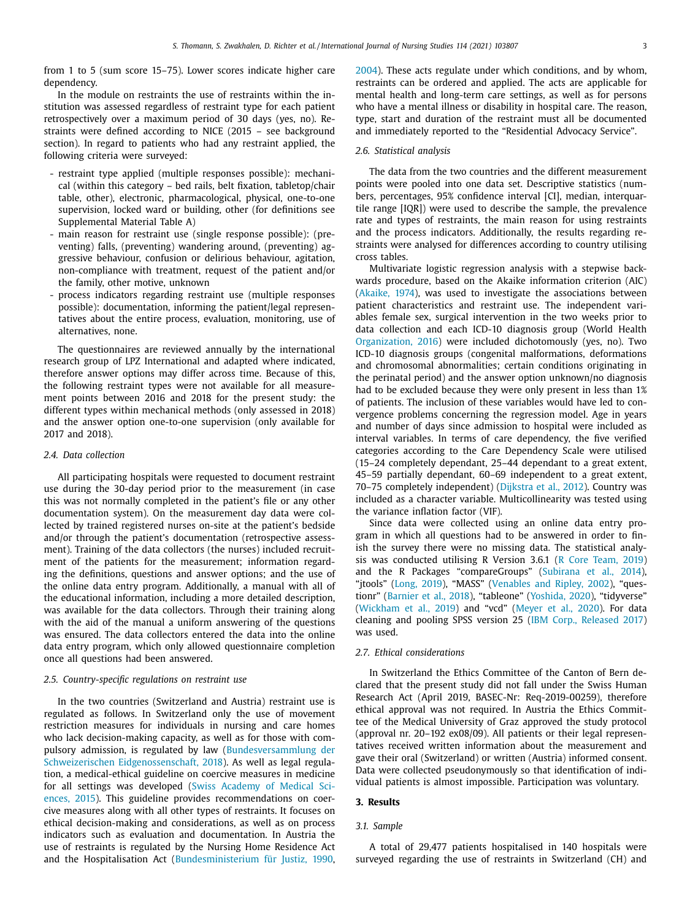from 1 to 5 (sum score 15–75). Lower scores indicate higher care dependency.

In the module on restraints the use of restraints within the institution was assessed regardless of restraint type for each patient retrospectively over a maximum period of 30 days (yes, no). Restraints were defined according to NICE (2015 – see background section). In regard to patients who had any restraint applied, the following criteria were surveyed:

- restraint type applied (multiple responses possible): mechanical (within this category – bed rails, belt fixation, tabletop/chair table, other), electronic, pharmacological, physical, one-to-one supervision, locked ward or building, other (for definitions see Supplemental Material Table A)
- main reason for restraint use (single response possible): (preventing) falls, (preventing) wandering around, (preventing) aggressive behaviour, confusion or delirious behaviour, agitation, non-compliance with treatment, request of the patient and/or the family, other motive, unknown
- process indicators regarding restraint use (multiple responses possible): documentation, informing the patient/legal representatives about the entire process, evaluation, monitoring, use of alternatives, none.

The questionnaires are reviewed annually by the international research group of LPZ International and adapted where indicated, therefore answer options may differ across time. Because of this, the following restraint types were not available for all measurement points between 2016 and 2018 for the present study: the different types within mechanical methods (only assessed in 2018) and the answer option one-to-one supervision (only available for 2017 and 2018).

# *2.4. Data collection*

All participating hospitals were requested to document restraint use during the 30-day period prior to the measurement (in case this was not normally completed in the patient's file or any other documentation system). On the measurement day data were collected by trained registered nurses on-site at the patient's bedside and/or through the patient's documentation (retrospective assessment). Training of the data collectors (the nurses) included recruitment of the patients for the measurement; information regarding the definitions, questions and answer options; and the use of the online data entry program. Additionally, a manual with all of the educational information, including a more detailed description, was available for the data collectors. Through their training along with the aid of the manual a uniform answering of the questions was ensured. The data collectors entered the data into the online data entry program, which only allowed questionnaire completion once all questions had been answered.

#### *2.5. Country-specific regulations on restraint use*

In the two countries (Switzerland and Austria) restraint use is regulated as follows. In Switzerland only the use of movement restriction measures for individuals in nursing and care homes who lack decision-making capacity, as well as for those with compulsory admission, is regulated by law (Bundesversammlung der Schweizerischen Eidgenossenschaft, 2018). As well as legal regulation, a medical-ethical guideline on coercive measures in medicine for all settings was developed (Swiss Academy of Medical Sciences, 2015). This guideline provides recommendations on coercive measures along with all other types of restraints. It focuses on ethical decision-making and considerations, as well as on process indicators such as evaluation and documentation. In Austria the use of restraints is regulated by the Nursing Home Residence Act and the Hospitalisation Act (Bundesministerium für Justiz, 1990, 2004). These acts regulate under which conditions, and by whom, restraints can be ordered and applied. The acts are applicable for mental health and long-term care settings, as well as for persons who have a mental illness or disability in hospital care. The reason, type, start and duration of the restraint must all be documented and immediately reported to the "Residential Advocacy Service".

# *2.6. Statistical analysis*

The data from the two countries and the different measurement points were pooled into one data set. Descriptive statistics (numbers, percentages, 95% confidence interval [CI], median, interquartile range [IQR]) were used to describe the sample, the prevalence rate and types of restraints, the main reason for using restraints and the process indicators. Additionally, the results regarding restraints were analysed for differences according to country utilising cross tables.

Multivariate logistic regression analysis with a stepwise backwards procedure, based on the Akaike information criterion (AIC) (Akaike, 1974), was used to investigate the associations between patient characteristics and restraint use. The independent variables female sex, surgical intervention in the two weeks prior to data collection and each ICD-10 diagnosis group (World Health Organization, 2016) were included dichotomously (yes, no). Two ICD-10 diagnosis groups (congenital malformations, deformations and chromosomal abnormalities; certain conditions originating in the perinatal period) and the answer option unknown/no diagnosis had to be excluded because they were only present in less than 1% of patients. The inclusion of these variables would have led to convergence problems concerning the regression model. Age in years and number of days since admission to hospital were included as interval variables. In terms of care dependency, the five verified categories according to the Care Dependency Scale were utilised (15–24 completely dependant, 25–44 dependant to a great extent, 45–59 partially dependant, 60–69 independent to a great extent, 70–75 completely independent) (Dijkstra et al., 2012). Country was included as a character variable. Multicollinearity was tested using the variance inflation factor (VIF).

Since data were collected using an online data entry program in which all questions had to be answered in order to finish the survey there were no missing data. The statistical analysis was conducted utilising R Version 3.6.1 (R Core Team, 2019) and the R Packages "compareGroups" (Subirana et al., 2014), "jtools" (Long, 2019), "MASS" (Venables and Ripley, 2002), "questionr" (Barnier et al., 2018), "tableone" (Yoshida, 2020), "tidyverse" (Wickham et al., 2019) and "vcd" (Meyer et al., 2020). For data cleaning and pooling SPSS version 25 (IBM Corp., Released 2017) was used.

# *2.7. Ethical considerations*

In Switzerland the Ethics Committee of the Canton of Bern declared that the present study did not fall under the Swiss Human Research Act (April 2019, BASEC-Nr: Req-2019-00259), therefore ethical approval was not required. In Austria the Ethics Committee of the Medical University of Graz approved the study protocol (approval nr. 20–192 ex08/09). All patients or their legal representatives received written information about the measurement and gave their oral (Switzerland) or written (Austria) informed consent. Data were collected pseudonymously so that identification of individual patients is almost impossible. Participation was voluntary.

## **3. Results**

# *3.1. Sample*

A total of 29,477 patients hospitalised in 140 hospitals were surveyed regarding the use of restraints in Switzerland (CH) and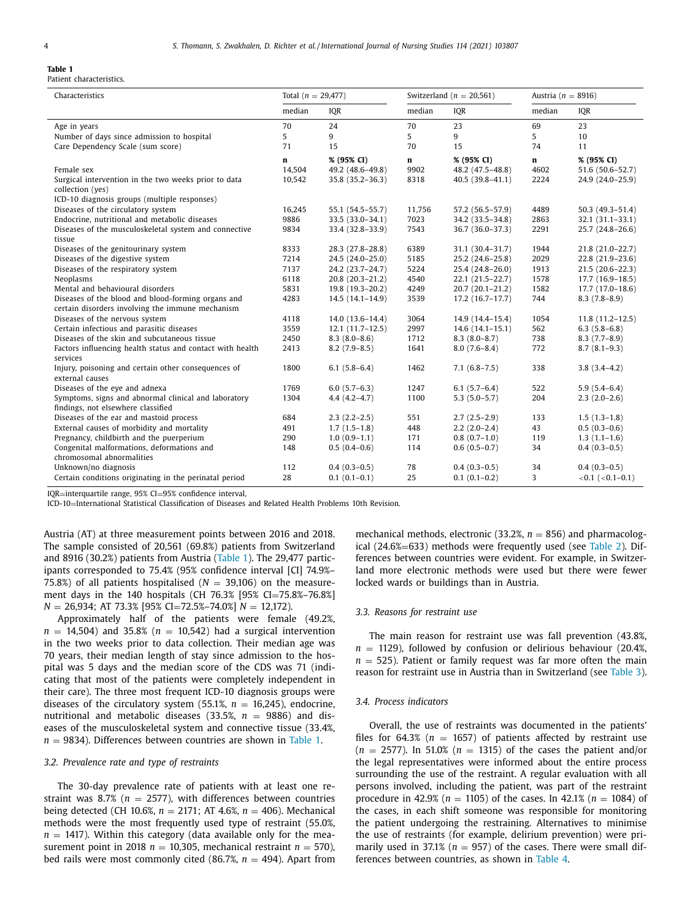#### **Table 1** Patient characteristics.

| median<br>median<br>IQR<br>median<br><b>IQR</b><br>IQR<br>23<br>23<br>70<br>24<br>70<br>69<br>Age in years<br>Number of days since admission to hospital<br>5<br>9<br>5<br>9<br>5<br>10<br>71<br>15<br>15<br>74<br>Care Dependency Scale (sum score)<br>70<br>11<br>% (95% CI)<br>% (95% CI)<br>% (95% CI)<br>$\mathbf{n}$<br>$\mathbf{n}$<br>$\mathbf{n}$<br>14,504<br>49.2 (48.6-49.8)<br>9902<br>48.2 (47.5-48.8)<br>4602<br>51.6 (50.6-52.7)<br>Female sex<br>8318<br>2224<br>Surgical intervention in the two weeks prior to data<br>10,542<br>35.8 (35.2-36.3)<br>$40.5(39.8 - 41.1)$<br>24.9 (24.0-25.9)<br>collection (yes)<br>ICD-10 diagnosis groups (multiple responses)<br>Diseases of the circulatory system<br>55.1 (54.5-55.7)<br>16.245<br>11,756<br>57.2 (56.5-57.9)<br>4489<br>50.3 (49.3-51.4)<br>Endocrine, nutritional and metabolic diseases<br>7023<br>2863<br>9886<br>33.5 (33.0-34.1)<br>34.2 (33.5-34.8)<br>$32.1(31.1-33.1)$<br>Diseases of the musculoskeletal system and connective<br>9834<br>33.4 (32.8-33.9)<br>7543<br>36.7 (36.0-37.3)<br>2291<br>25.7 (24.8-26.6)<br>tissue<br>Diseases of the genitourinary system<br>8333<br>28.3 (27.8-28.8)<br>6389<br>31.1 (30.4-31.7)<br>1944<br>21.8 (21.0-22.7)<br>Diseases of the digestive system<br>7214<br>5185<br>2029<br>24.5 (24.0-25.0)<br>25.2 (24.6-25.8)<br>22.8 (21.9-23.6)<br>Diseases of the respiratory system<br>7137<br>24.2 (23.7-24.7)<br>5224<br>1913<br>25.4 (24.8-26.0)<br>$21.5(20.6-22.3)$<br>Neoplasms<br>6118<br>$20.8(20.3 - 21.2)$<br>4540<br>$22.1(21.5-22.7)$<br>1578<br>$17.7(16.9-18.5)$<br>Mental and behavioural disorders<br>5831<br>4249<br>1582<br>19.8 (19.3-20.2)<br>$20.7(20.1 - 21.2)$<br>$17.7(17.0-18.6)$<br>Diseases of the blood and blood-forming organs and<br>3539<br>744<br>4283<br>$14.5(14.1-14.9)$<br>$17.2(16.7-17.7)$<br>$8.3(7.8-8.9)$<br>certain disorders involving the immune mechanism<br>Diseases of the nervous system<br>4118<br>3064<br>1054<br>$14.0(13.6 - 14.4)$<br>14.9 (14.4-15.4)<br>$11.8(11.2-12.5)$<br>562<br>Certain infectious and parasitic diseases<br>3559<br>$12.1(11.7-12.5)$<br>2997<br>$14.6(14.1-15.1)$<br>$6.3(5.8-6.8)$<br>Diseases of the skin and subcutaneous tissue<br>1712<br>738<br>2450<br>$8.3(8.0-8.6)$<br>$8.3(8.0 - 8.7)$<br>$8.3(7.7-8.9)$<br>Factors influencing health status and contact with health<br>1641<br>772<br>$8.7(8.1-9.3)$<br>2413<br>$8.2(7.9 - 8.5)$<br>$8.0(7.6-8.4)$<br>services<br>1800<br>1462<br>$7.1(6.8-7.5)$<br>Injury, poisoning and certain other consequences of<br>$6.1(5.8-6.4)$<br>338<br>$3.8(3.4-4.2)$<br>external causes<br>Diseases of the eye and adnexa<br>1769<br>$6.0(5.7-6.3)$<br>1247<br>$6.1(5.7-6.4)$<br>522<br>$5.9(5.4-6.4)$<br>Symptoms, signs and abnormal clinical and laboratory<br>1100<br>204<br>$2.3(2.0-2.6)$<br>1304<br>$4.4(4.2 - 4.7)$<br>$5.3(5.0-5.7)$<br>findings, not elsewhere classified<br>Diseases of the ear and mastoid process<br>684<br>$2.3(2.2-2.5)$<br>551<br>$2.7(2.5-2.9)$<br>133<br>$1.5(1.3-1.8)$<br>External causes of morbidity and mortality<br>448<br>43<br>491<br>$1.7(1.5-1.8)$<br>$2.2(2.0-2.4)$<br>$0.5(0.3-0.6)$<br>Pregnancy, childbirth and the puerperium<br>290<br>$1.0(0.9-1.1)$<br>171<br>$0.8(0.7-1.0)$<br>119<br>$1.3(1.1-1.6)$<br>Congenital malformations, deformations and<br>34<br>148<br>$0.5(0.4-0.6)$<br>114<br>$0.6(0.5-0.7)$<br>$0.4(0.3-0.5)$<br>chromosomal abnormalities | Characteristics      | Total $(n = 29,477)$ |                | Switzerland ( $n = 20,561$ ) |                | Austria ( $n = 8916$ ) |                |
|------------------------------------------------------------------------------------------------------------------------------------------------------------------------------------------------------------------------------------------------------------------------------------------------------------------------------------------------------------------------------------------------------------------------------------------------------------------------------------------------------------------------------------------------------------------------------------------------------------------------------------------------------------------------------------------------------------------------------------------------------------------------------------------------------------------------------------------------------------------------------------------------------------------------------------------------------------------------------------------------------------------------------------------------------------------------------------------------------------------------------------------------------------------------------------------------------------------------------------------------------------------------------------------------------------------------------------------------------------------------------------------------------------------------------------------------------------------------------------------------------------------------------------------------------------------------------------------------------------------------------------------------------------------------------------------------------------------------------------------------------------------------------------------------------------------------------------------------------------------------------------------------------------------------------------------------------------------------------------------------------------------------------------------------------------------------------------------------------------------------------------------------------------------------------------------------------------------------------------------------------------------------------------------------------------------------------------------------------------------------------------------------------------------------------------------------------------------------------------------------------------------------------------------------------------------------------------------------------------------------------------------------------------------------------------------------------------------------------------------------------------------------------------------------------------------------------------------------------------------------------------------------------------------------------------------------------------------------------------------------------------------------------------------------------------------------------------------------------------------------------------------------------------------------------------------------------------------------------------------------------------------------------------------------------------------------------------------------------------------------------------------------------------------------------------------------------------|----------------------|----------------------|----------------|------------------------------|----------------|------------------------|----------------|
|                                                                                                                                                                                                                                                                                                                                                                                                                                                                                                                                                                                                                                                                                                                                                                                                                                                                                                                                                                                                                                                                                                                                                                                                                                                                                                                                                                                                                                                                                                                                                                                                                                                                                                                                                                                                                                                                                                                                                                                                                                                                                                                                                                                                                                                                                                                                                                                                                                                                                                                                                                                                                                                                                                                                                                                                                                                                                                                                                                                                                                                                                                                                                                                                                                                                                                                                                                                                                                                            |                      |                      |                |                              |                |                        |                |
|                                                                                                                                                                                                                                                                                                                                                                                                                                                                                                                                                                                                                                                                                                                                                                                                                                                                                                                                                                                                                                                                                                                                                                                                                                                                                                                                                                                                                                                                                                                                                                                                                                                                                                                                                                                                                                                                                                                                                                                                                                                                                                                                                                                                                                                                                                                                                                                                                                                                                                                                                                                                                                                                                                                                                                                                                                                                                                                                                                                                                                                                                                                                                                                                                                                                                                                                                                                                                                                            |                      |                      |                |                              |                |                        |                |
|                                                                                                                                                                                                                                                                                                                                                                                                                                                                                                                                                                                                                                                                                                                                                                                                                                                                                                                                                                                                                                                                                                                                                                                                                                                                                                                                                                                                                                                                                                                                                                                                                                                                                                                                                                                                                                                                                                                                                                                                                                                                                                                                                                                                                                                                                                                                                                                                                                                                                                                                                                                                                                                                                                                                                                                                                                                                                                                                                                                                                                                                                                                                                                                                                                                                                                                                                                                                                                                            |                      |                      |                |                              |                |                        |                |
|                                                                                                                                                                                                                                                                                                                                                                                                                                                                                                                                                                                                                                                                                                                                                                                                                                                                                                                                                                                                                                                                                                                                                                                                                                                                                                                                                                                                                                                                                                                                                                                                                                                                                                                                                                                                                                                                                                                                                                                                                                                                                                                                                                                                                                                                                                                                                                                                                                                                                                                                                                                                                                                                                                                                                                                                                                                                                                                                                                                                                                                                                                                                                                                                                                                                                                                                                                                                                                                            |                      |                      |                |                              |                |                        |                |
|                                                                                                                                                                                                                                                                                                                                                                                                                                                                                                                                                                                                                                                                                                                                                                                                                                                                                                                                                                                                                                                                                                                                                                                                                                                                                                                                                                                                                                                                                                                                                                                                                                                                                                                                                                                                                                                                                                                                                                                                                                                                                                                                                                                                                                                                                                                                                                                                                                                                                                                                                                                                                                                                                                                                                                                                                                                                                                                                                                                                                                                                                                                                                                                                                                                                                                                                                                                                                                                            |                      |                      |                |                              |                |                        |                |
|                                                                                                                                                                                                                                                                                                                                                                                                                                                                                                                                                                                                                                                                                                                                                                                                                                                                                                                                                                                                                                                                                                                                                                                                                                                                                                                                                                                                                                                                                                                                                                                                                                                                                                                                                                                                                                                                                                                                                                                                                                                                                                                                                                                                                                                                                                                                                                                                                                                                                                                                                                                                                                                                                                                                                                                                                                                                                                                                                                                                                                                                                                                                                                                                                                                                                                                                                                                                                                                            |                      |                      |                |                              |                |                        |                |
|                                                                                                                                                                                                                                                                                                                                                                                                                                                                                                                                                                                                                                                                                                                                                                                                                                                                                                                                                                                                                                                                                                                                                                                                                                                                                                                                                                                                                                                                                                                                                                                                                                                                                                                                                                                                                                                                                                                                                                                                                                                                                                                                                                                                                                                                                                                                                                                                                                                                                                                                                                                                                                                                                                                                                                                                                                                                                                                                                                                                                                                                                                                                                                                                                                                                                                                                                                                                                                                            |                      |                      |                |                              |                |                        |                |
|                                                                                                                                                                                                                                                                                                                                                                                                                                                                                                                                                                                                                                                                                                                                                                                                                                                                                                                                                                                                                                                                                                                                                                                                                                                                                                                                                                                                                                                                                                                                                                                                                                                                                                                                                                                                                                                                                                                                                                                                                                                                                                                                                                                                                                                                                                                                                                                                                                                                                                                                                                                                                                                                                                                                                                                                                                                                                                                                                                                                                                                                                                                                                                                                                                                                                                                                                                                                                                                            |                      |                      |                |                              |                |                        |                |
|                                                                                                                                                                                                                                                                                                                                                                                                                                                                                                                                                                                                                                                                                                                                                                                                                                                                                                                                                                                                                                                                                                                                                                                                                                                                                                                                                                                                                                                                                                                                                                                                                                                                                                                                                                                                                                                                                                                                                                                                                                                                                                                                                                                                                                                                                                                                                                                                                                                                                                                                                                                                                                                                                                                                                                                                                                                                                                                                                                                                                                                                                                                                                                                                                                                                                                                                                                                                                                                            |                      |                      |                |                              |                |                        |                |
|                                                                                                                                                                                                                                                                                                                                                                                                                                                                                                                                                                                                                                                                                                                                                                                                                                                                                                                                                                                                                                                                                                                                                                                                                                                                                                                                                                                                                                                                                                                                                                                                                                                                                                                                                                                                                                                                                                                                                                                                                                                                                                                                                                                                                                                                                                                                                                                                                                                                                                                                                                                                                                                                                                                                                                                                                                                                                                                                                                                                                                                                                                                                                                                                                                                                                                                                                                                                                                                            |                      |                      |                |                              |                |                        |                |
|                                                                                                                                                                                                                                                                                                                                                                                                                                                                                                                                                                                                                                                                                                                                                                                                                                                                                                                                                                                                                                                                                                                                                                                                                                                                                                                                                                                                                                                                                                                                                                                                                                                                                                                                                                                                                                                                                                                                                                                                                                                                                                                                                                                                                                                                                                                                                                                                                                                                                                                                                                                                                                                                                                                                                                                                                                                                                                                                                                                                                                                                                                                                                                                                                                                                                                                                                                                                                                                            |                      |                      |                |                              |                |                        |                |
|                                                                                                                                                                                                                                                                                                                                                                                                                                                                                                                                                                                                                                                                                                                                                                                                                                                                                                                                                                                                                                                                                                                                                                                                                                                                                                                                                                                                                                                                                                                                                                                                                                                                                                                                                                                                                                                                                                                                                                                                                                                                                                                                                                                                                                                                                                                                                                                                                                                                                                                                                                                                                                                                                                                                                                                                                                                                                                                                                                                                                                                                                                                                                                                                                                                                                                                                                                                                                                                            |                      |                      |                |                              |                |                        |                |
|                                                                                                                                                                                                                                                                                                                                                                                                                                                                                                                                                                                                                                                                                                                                                                                                                                                                                                                                                                                                                                                                                                                                                                                                                                                                                                                                                                                                                                                                                                                                                                                                                                                                                                                                                                                                                                                                                                                                                                                                                                                                                                                                                                                                                                                                                                                                                                                                                                                                                                                                                                                                                                                                                                                                                                                                                                                                                                                                                                                                                                                                                                                                                                                                                                                                                                                                                                                                                                                            |                      |                      |                |                              |                |                        |                |
|                                                                                                                                                                                                                                                                                                                                                                                                                                                                                                                                                                                                                                                                                                                                                                                                                                                                                                                                                                                                                                                                                                                                                                                                                                                                                                                                                                                                                                                                                                                                                                                                                                                                                                                                                                                                                                                                                                                                                                                                                                                                                                                                                                                                                                                                                                                                                                                                                                                                                                                                                                                                                                                                                                                                                                                                                                                                                                                                                                                                                                                                                                                                                                                                                                                                                                                                                                                                                                                            |                      |                      |                |                              |                |                        |                |
|                                                                                                                                                                                                                                                                                                                                                                                                                                                                                                                                                                                                                                                                                                                                                                                                                                                                                                                                                                                                                                                                                                                                                                                                                                                                                                                                                                                                                                                                                                                                                                                                                                                                                                                                                                                                                                                                                                                                                                                                                                                                                                                                                                                                                                                                                                                                                                                                                                                                                                                                                                                                                                                                                                                                                                                                                                                                                                                                                                                                                                                                                                                                                                                                                                                                                                                                                                                                                                                            |                      |                      |                |                              |                |                        |                |
|                                                                                                                                                                                                                                                                                                                                                                                                                                                                                                                                                                                                                                                                                                                                                                                                                                                                                                                                                                                                                                                                                                                                                                                                                                                                                                                                                                                                                                                                                                                                                                                                                                                                                                                                                                                                                                                                                                                                                                                                                                                                                                                                                                                                                                                                                                                                                                                                                                                                                                                                                                                                                                                                                                                                                                                                                                                                                                                                                                                                                                                                                                                                                                                                                                                                                                                                                                                                                                                            |                      |                      |                |                              |                |                        |                |
|                                                                                                                                                                                                                                                                                                                                                                                                                                                                                                                                                                                                                                                                                                                                                                                                                                                                                                                                                                                                                                                                                                                                                                                                                                                                                                                                                                                                                                                                                                                                                                                                                                                                                                                                                                                                                                                                                                                                                                                                                                                                                                                                                                                                                                                                                                                                                                                                                                                                                                                                                                                                                                                                                                                                                                                                                                                                                                                                                                                                                                                                                                                                                                                                                                                                                                                                                                                                                                                            |                      |                      |                |                              |                |                        |                |
|                                                                                                                                                                                                                                                                                                                                                                                                                                                                                                                                                                                                                                                                                                                                                                                                                                                                                                                                                                                                                                                                                                                                                                                                                                                                                                                                                                                                                                                                                                                                                                                                                                                                                                                                                                                                                                                                                                                                                                                                                                                                                                                                                                                                                                                                                                                                                                                                                                                                                                                                                                                                                                                                                                                                                                                                                                                                                                                                                                                                                                                                                                                                                                                                                                                                                                                                                                                                                                                            |                      |                      |                |                              |                |                        |                |
|                                                                                                                                                                                                                                                                                                                                                                                                                                                                                                                                                                                                                                                                                                                                                                                                                                                                                                                                                                                                                                                                                                                                                                                                                                                                                                                                                                                                                                                                                                                                                                                                                                                                                                                                                                                                                                                                                                                                                                                                                                                                                                                                                                                                                                                                                                                                                                                                                                                                                                                                                                                                                                                                                                                                                                                                                                                                                                                                                                                                                                                                                                                                                                                                                                                                                                                                                                                                                                                            |                      |                      |                |                              |                |                        |                |
|                                                                                                                                                                                                                                                                                                                                                                                                                                                                                                                                                                                                                                                                                                                                                                                                                                                                                                                                                                                                                                                                                                                                                                                                                                                                                                                                                                                                                                                                                                                                                                                                                                                                                                                                                                                                                                                                                                                                                                                                                                                                                                                                                                                                                                                                                                                                                                                                                                                                                                                                                                                                                                                                                                                                                                                                                                                                                                                                                                                                                                                                                                                                                                                                                                                                                                                                                                                                                                                            |                      |                      |                |                              |                |                        |                |
|                                                                                                                                                                                                                                                                                                                                                                                                                                                                                                                                                                                                                                                                                                                                                                                                                                                                                                                                                                                                                                                                                                                                                                                                                                                                                                                                                                                                                                                                                                                                                                                                                                                                                                                                                                                                                                                                                                                                                                                                                                                                                                                                                                                                                                                                                                                                                                                                                                                                                                                                                                                                                                                                                                                                                                                                                                                                                                                                                                                                                                                                                                                                                                                                                                                                                                                                                                                                                                                            |                      |                      |                |                              |                |                        |                |
|                                                                                                                                                                                                                                                                                                                                                                                                                                                                                                                                                                                                                                                                                                                                                                                                                                                                                                                                                                                                                                                                                                                                                                                                                                                                                                                                                                                                                                                                                                                                                                                                                                                                                                                                                                                                                                                                                                                                                                                                                                                                                                                                                                                                                                                                                                                                                                                                                                                                                                                                                                                                                                                                                                                                                                                                                                                                                                                                                                                                                                                                                                                                                                                                                                                                                                                                                                                                                                                            |                      |                      |                |                              |                |                        |                |
|                                                                                                                                                                                                                                                                                                                                                                                                                                                                                                                                                                                                                                                                                                                                                                                                                                                                                                                                                                                                                                                                                                                                                                                                                                                                                                                                                                                                                                                                                                                                                                                                                                                                                                                                                                                                                                                                                                                                                                                                                                                                                                                                                                                                                                                                                                                                                                                                                                                                                                                                                                                                                                                                                                                                                                                                                                                                                                                                                                                                                                                                                                                                                                                                                                                                                                                                                                                                                                                            |                      |                      |                |                              |                |                        |                |
|                                                                                                                                                                                                                                                                                                                                                                                                                                                                                                                                                                                                                                                                                                                                                                                                                                                                                                                                                                                                                                                                                                                                                                                                                                                                                                                                                                                                                                                                                                                                                                                                                                                                                                                                                                                                                                                                                                                                                                                                                                                                                                                                                                                                                                                                                                                                                                                                                                                                                                                                                                                                                                                                                                                                                                                                                                                                                                                                                                                                                                                                                                                                                                                                                                                                                                                                                                                                                                                            |                      |                      |                |                              |                |                        |                |
|                                                                                                                                                                                                                                                                                                                                                                                                                                                                                                                                                                                                                                                                                                                                                                                                                                                                                                                                                                                                                                                                                                                                                                                                                                                                                                                                                                                                                                                                                                                                                                                                                                                                                                                                                                                                                                                                                                                                                                                                                                                                                                                                                                                                                                                                                                                                                                                                                                                                                                                                                                                                                                                                                                                                                                                                                                                                                                                                                                                                                                                                                                                                                                                                                                                                                                                                                                                                                                                            |                      |                      |                |                              |                |                        |                |
|                                                                                                                                                                                                                                                                                                                                                                                                                                                                                                                                                                                                                                                                                                                                                                                                                                                                                                                                                                                                                                                                                                                                                                                                                                                                                                                                                                                                                                                                                                                                                                                                                                                                                                                                                                                                                                                                                                                                                                                                                                                                                                                                                                                                                                                                                                                                                                                                                                                                                                                                                                                                                                                                                                                                                                                                                                                                                                                                                                                                                                                                                                                                                                                                                                                                                                                                                                                                                                                            |                      |                      |                |                              |                |                        |                |
|                                                                                                                                                                                                                                                                                                                                                                                                                                                                                                                                                                                                                                                                                                                                                                                                                                                                                                                                                                                                                                                                                                                                                                                                                                                                                                                                                                                                                                                                                                                                                                                                                                                                                                                                                                                                                                                                                                                                                                                                                                                                                                                                                                                                                                                                                                                                                                                                                                                                                                                                                                                                                                                                                                                                                                                                                                                                                                                                                                                                                                                                                                                                                                                                                                                                                                                                                                                                                                                            |                      |                      |                |                              |                |                        |                |
|                                                                                                                                                                                                                                                                                                                                                                                                                                                                                                                                                                                                                                                                                                                                                                                                                                                                                                                                                                                                                                                                                                                                                                                                                                                                                                                                                                                                                                                                                                                                                                                                                                                                                                                                                                                                                                                                                                                                                                                                                                                                                                                                                                                                                                                                                                                                                                                                                                                                                                                                                                                                                                                                                                                                                                                                                                                                                                                                                                                                                                                                                                                                                                                                                                                                                                                                                                                                                                                            |                      |                      |                |                              |                |                        |                |
|                                                                                                                                                                                                                                                                                                                                                                                                                                                                                                                                                                                                                                                                                                                                                                                                                                                                                                                                                                                                                                                                                                                                                                                                                                                                                                                                                                                                                                                                                                                                                                                                                                                                                                                                                                                                                                                                                                                                                                                                                                                                                                                                                                                                                                                                                                                                                                                                                                                                                                                                                                                                                                                                                                                                                                                                                                                                                                                                                                                                                                                                                                                                                                                                                                                                                                                                                                                                                                                            |                      |                      |                |                              |                |                        |                |
|                                                                                                                                                                                                                                                                                                                                                                                                                                                                                                                                                                                                                                                                                                                                                                                                                                                                                                                                                                                                                                                                                                                                                                                                                                                                                                                                                                                                                                                                                                                                                                                                                                                                                                                                                                                                                                                                                                                                                                                                                                                                                                                                                                                                                                                                                                                                                                                                                                                                                                                                                                                                                                                                                                                                                                                                                                                                                                                                                                                                                                                                                                                                                                                                                                                                                                                                                                                                                                                            |                      |                      |                |                              |                |                        |                |
|                                                                                                                                                                                                                                                                                                                                                                                                                                                                                                                                                                                                                                                                                                                                                                                                                                                                                                                                                                                                                                                                                                                                                                                                                                                                                                                                                                                                                                                                                                                                                                                                                                                                                                                                                                                                                                                                                                                                                                                                                                                                                                                                                                                                                                                                                                                                                                                                                                                                                                                                                                                                                                                                                                                                                                                                                                                                                                                                                                                                                                                                                                                                                                                                                                                                                                                                                                                                                                                            |                      |                      |                |                              |                |                        |                |
|                                                                                                                                                                                                                                                                                                                                                                                                                                                                                                                                                                                                                                                                                                                                                                                                                                                                                                                                                                                                                                                                                                                                                                                                                                                                                                                                                                                                                                                                                                                                                                                                                                                                                                                                                                                                                                                                                                                                                                                                                                                                                                                                                                                                                                                                                                                                                                                                                                                                                                                                                                                                                                                                                                                                                                                                                                                                                                                                                                                                                                                                                                                                                                                                                                                                                                                                                                                                                                                            |                      |                      |                |                              |                |                        |                |
|                                                                                                                                                                                                                                                                                                                                                                                                                                                                                                                                                                                                                                                                                                                                                                                                                                                                                                                                                                                                                                                                                                                                                                                                                                                                                                                                                                                                                                                                                                                                                                                                                                                                                                                                                                                                                                                                                                                                                                                                                                                                                                                                                                                                                                                                                                                                                                                                                                                                                                                                                                                                                                                                                                                                                                                                                                                                                                                                                                                                                                                                                                                                                                                                                                                                                                                                                                                                                                                            |                      |                      |                |                              |                |                        |                |
|                                                                                                                                                                                                                                                                                                                                                                                                                                                                                                                                                                                                                                                                                                                                                                                                                                                                                                                                                                                                                                                                                                                                                                                                                                                                                                                                                                                                                                                                                                                                                                                                                                                                                                                                                                                                                                                                                                                                                                                                                                                                                                                                                                                                                                                                                                                                                                                                                                                                                                                                                                                                                                                                                                                                                                                                                                                                                                                                                                                                                                                                                                                                                                                                                                                                                                                                                                                                                                                            |                      |                      |                |                              |                |                        |                |
|                                                                                                                                                                                                                                                                                                                                                                                                                                                                                                                                                                                                                                                                                                                                                                                                                                                                                                                                                                                                                                                                                                                                                                                                                                                                                                                                                                                                                                                                                                                                                                                                                                                                                                                                                                                                                                                                                                                                                                                                                                                                                                                                                                                                                                                                                                                                                                                                                                                                                                                                                                                                                                                                                                                                                                                                                                                                                                                                                                                                                                                                                                                                                                                                                                                                                                                                                                                                                                                            | Unknown/no diagnosis | 112                  | $0.4(0.3-0.5)$ | 78                           | $0.4(0.3-0.5)$ | 34                     | $0.4(0.3-0.5)$ |
| 3<br>Certain conditions originating in the perinatal period<br>28<br>$0.1(0.1-0.1)$<br>25<br>$0.1(0.1-0.2)$<br>$<0.1$ ( $< 0.1 - 0.1$ )                                                                                                                                                                                                                                                                                                                                                                                                                                                                                                                                                                                                                                                                                                                                                                                                                                                                                                                                                                                                                                                                                                                                                                                                                                                                                                                                                                                                                                                                                                                                                                                                                                                                                                                                                                                                                                                                                                                                                                                                                                                                                                                                                                                                                                                                                                                                                                                                                                                                                                                                                                                                                                                                                                                                                                                                                                                                                                                                                                                                                                                                                                                                                                                                                                                                                                                    |                      |                      |                |                              |                |                        |                |

IQR=interquartile range, 95% CI=95% confidence interval,

ICD-10=International Statistical Classification of Diseases and Related Health Problems 10th Revision.

Austria (AT) at three measurement points between 2016 and 2018. The sample consisted of 20,561 (69.8%) patients from Switzerland and 8916 (30.2%) patients from Austria (Table 1). The 29,477 participants corresponded to 75.4% (95% confidence interval [CI] 74.9%– 75.8%) of all patients hospitalised  $(N = 39,106)$  on the measurement days in the 140 hospitals (CH 76.3% [95% CI=75.8%–76.8%] *N* = 26,934; AT 73.3% [95% CI=72.5%–74.0%] *N* = 12,172).

Approximately half of the patients were female (49.2%,  $n = 14,504$  and 35.8% ( $n = 10,542$ ) had a surgical intervention in the two weeks prior to data collection. Their median age was 70 years, their median length of stay since admission to the hospital was 5 days and the median score of the CDS was 71 (indicating that most of the patients were completely independent in their care). The three most frequent ICD-10 diagnosis groups were diseases of the circulatory system  $(55.1\%, n = 16,245)$ , endocrine, nutritional and metabolic diseases (33.5%,  $n = 9886$ ) and diseases of the musculoskeletal system and connective tissue (33.4%,  $n = 9834$ ). Differences between countries are shown in Table 1.

# *3.2. Prevalence rate and type of restraints*

The 30-day prevalence rate of patients with at least one restraint was 8.7% ( $n = 2577$ ), with differences between countries being detected (CH 10.6%, *n* = 2171; AT 4.6%, *n* = 406). Mechanical methods were the most frequently used type of restraint (55.0%,  $n = 1417$ ). Within this category (data available only for the measurement point in 2018  $n = 10,305$ , mechanical restraint  $n = 570$ ), bed rails were most commonly cited (86.7%,  $n = 494$ ). Apart from mechanical methods, electronic (33.2%,  $n = 856$ ) and pharmacological (24.6%=633) methods were frequently used (see Table 2). Differences between countries were evident. For example, in Switzerland more electronic methods were used but there were fewer locked wards or buildings than in Austria.

# *3.3. Reasons for restraint use*

The main reason for restraint use was fall prevention (43.8%,  $n = 1129$ ), followed by confusion or delirious behaviour (20.4%,  $n = 525$ ). Patient or family request was far more often the main reason for restraint use in Austria than in Switzerland (see Table 3).

# *3.4. Process indicators*

Overall, the use of restraints was documented in the patients' files for 64.3% ( $n = 1657$ ) of patients affected by restraint use  $(n = 2577)$ . In 51.0%  $(n = 1315)$  of the cases the patient and/or the legal representatives were informed about the entire process surrounding the use of the restraint. A regular evaluation with all persons involved, including the patient, was part of the restraint procedure in 42.9% (*n* = 1105) of the cases. In 42.1% (*n* = 1084) of the cases, in each shift someone was responsible for monitoring the patient undergoing the restraining. Alternatives to minimise the use of restraints (for example, delirium prevention) were primarily used in 37.1% ( $n = 957$ ) of the cases. There were small differences between countries, as shown in Table 4.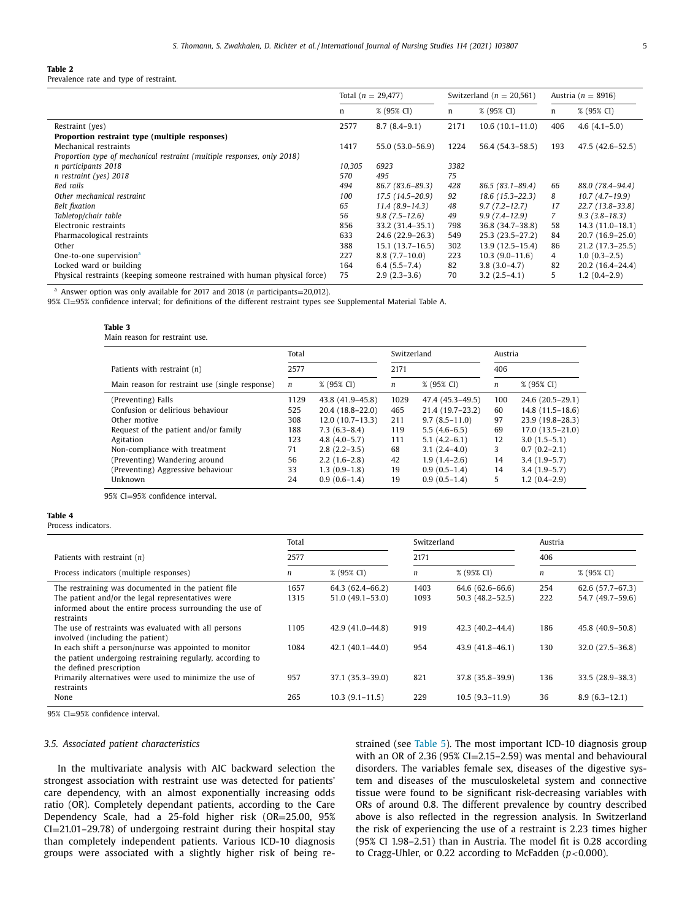#### **Table 2**

Prevalence rate and type of restraint.

|                                                                            | Total $(n = 29,477)$ |                   | Switzerland ( $n = 20,561$ ) |                     | Austria ( $n = 8916$ ) |                     |
|----------------------------------------------------------------------------|----------------------|-------------------|------------------------------|---------------------|------------------------|---------------------|
|                                                                            | n                    | % (95% CI)        | n                            | % (95% CI)          | n                      | % (95% CI)          |
| Restraint (yes)                                                            | 2577                 | $8.7(8.4-9.1)$    | 2171                         | $10.6(10.1-11.0)$   | 406                    | $4.6(4.1-5.0)$      |
| Proportion restraint type (multiple responses)                             |                      |                   |                              |                     |                        |                     |
| Mechanical restraints                                                      | 1417                 | 55.0 (53.0-56.9)  | 1224                         | 56.4 (54.3–58.5)    | 193                    | $47.5(42.6 - 52.5)$ |
| Proportion type of mechanical restraint (multiple responses, only 2018)    |                      |                   |                              |                     |                        |                     |
| n participants 2018                                                        | 10,305               | 6923              | 3382                         |                     |                        |                     |
| $n$ restraint (yes) 2018                                                   | 570                  | 495               | 75                           |                     |                        |                     |
| Bed rails                                                                  | 494                  | 86.7 (83.6-89.3)  | 428                          | $86.5(83.1 - 89.4)$ | 66                     | 88.0 (78.4–94.4)    |
| Other mechanical restraint                                                 | 100                  | $17.5(14.5-20.9)$ | 92                           | 18.6 (15.3-22.3)    | 8                      | $10.7(4.7-19.9)$    |
| <b>Belt</b> fixation                                                       | 65                   | $11.4(8.9-14.3)$  | 48                           | $9.7(7.2 - 12.7)$   | 17                     | $22.7(13.8-33.8)$   |
| Tabletop/chair table                                                       | 56                   | $9.8(7.5-12.6)$   | 49                           | $9.9(7.4-12.9)$     | 7                      | $9.3(3.8-18.3)$     |
| Electronic restraints                                                      | 856                  | 33.2 (31.4-35.1)  | 798                          | 36.8 (34.7-38.8)    | 58                     | $14.3(11.0-18.1)$   |
| Pharmacological restraints                                                 | 633                  | 24.6 (22.9–26.3)  | 549                          | $25.3(23.5-27.2)$   | 84                     | $20.7(16.9-25.0)$   |
| Other                                                                      | 388                  | $15.1(13.7-16.5)$ | 302                          | $13.9(12.5-15.4)$   | 86                     | $21.2(17.3-25.5)$   |
| One-to-one supervision <sup>a</sup>                                        | 227                  | $8.8(7.7-10.0)$   | 223                          | $10.3(9.0-11.6)$    | $\overline{4}$         | $1.0(0.3-2.5)$      |
| Locked ward or building                                                    | 164                  | $6.4(5.5 - 7.4)$  | 82                           | $3.8(3.0-4.7)$      | 82                     | $20.2(16.4-24.4)$   |
| Physical restraints (keeping someone restrained with human physical force) | 75                   | $2.9(2.3-3.6)$    | 70                           | $3.2(2.5-4.1)$      | 5                      | $1.2(0.4-2.9)$      |

<sup>a</sup> Answer option was only available for <sup>2017</sup> and <sup>2018</sup> (*<sup>n</sup>* participants=20,012).

95% CI=95% confidence interval; for definitions of the different restraint types see Supplemental Material Table A.

#### **Table 3**

Main reason for restraint use.

|                                                 | Total |                     |                  | Switzerland      |                  | Austria           |  |
|-------------------------------------------------|-------|---------------------|------------------|------------------|------------------|-------------------|--|
| Patients with restraint $(n)$                   | 2577  |                     |                  | 2171             |                  | 406               |  |
| Main reason for restraint use (single response) | n     | % (95% CI)          | $\boldsymbol{n}$ | % (95% CI)       | $\boldsymbol{n}$ | % (95% CI)        |  |
| (Preventing) Falls                              | 1129  | $43.8(41.9 - 45.8)$ | 1029             | 47.4 (45.3–49.5) | 100              | $24.6(20.5-29.1)$ |  |
| Confusion or delirious behaviour                | 525   | 20.4 (18.8-22.0)    | 465              | 21.4 (19.7-23.2) | 60               | $14.8(11.5-18.6)$ |  |
| Other motive                                    | 308   | $12.0(10.7-13.3)$   | 211              | $9.7(8.5-11.0)$  | 97               | $23.9(19.8-28.3)$ |  |
| Request of the patient and/or family            | 188   | $7.3(6.3-8.4)$      | 119              | $5.5(4.6-6.5)$   | 69               | $17.0(13.5-21.0)$ |  |
| Agitation                                       | 123   | $4.8(4.0-5.7)$      | 111              | $5.1(4.2-6.1)$   | 12               | $3.0(1.5-5.1)$    |  |
| Non-compliance with treatment                   | 71    | $2.8(2.2-3.5)$      | 68               | $3.1(2.4-4.0)$   | 3                | $0.7(0.2-2.1)$    |  |
| (Preventing) Wandering around                   | 56    | $2.2(1.6-2.8)$      | 42               | $1.9(1.4-2.6)$   | 14               | $3.4(1.9-5.7)$    |  |
| (Preventing) Aggressive behaviour               | 33    | $1.3(0.9-1.8)$      | 19               | $0.9(0.5-1.4)$   | 14               | $3.4(1.9-5.7)$    |  |
| Unknown                                         | 24    | $0.9(0.6-1.4)$      | 19               | $0.9(0.5-1.4)$   | 5.               | $1.2(0.4-2.9)$    |  |

95% CI=95% confidence interval.

#### **Table 4**

Process indicators.

|                                                                                                                                                 | Total |                     | Switzerland |                     | Austria |                     |
|-------------------------------------------------------------------------------------------------------------------------------------------------|-------|---------------------|-------------|---------------------|---------|---------------------|
| Patients with restraint $(n)$                                                                                                                   | 2577  |                     | 2171        |                     | 406     |                     |
| Process indicators (multiple responses)                                                                                                         | n     | % (95% CI)          | n           | % (95% CI)          | n       | % (95% CI)          |
| The restraining was documented in the patient file                                                                                              | 1657  | 64.3 (62.4-66.2)    | 1403        | 64.6 (62.6-66.6)    | 254     | $62.6(57.7-67.3)$   |
| The patient and/or the legal representatives were<br>informed about the entire process surrounding the use of<br>restraints                     | 1315  | $51.0(49.1 - 53.0)$ | 1093        | $50.3(48.2 - 52.5)$ | 222     | 54.7 (49.7-59.6)    |
| The use of restraints was evaluated with all persons<br>involved (including the patient)                                                        | 1105  | $42.9(41.0 - 44.8)$ | 919         | $42.3(40.2 - 44.4)$ | 186     | 45.8 (40.9-50.8)    |
| In each shift a person/nurse was appointed to monitor<br>the patient undergoing restraining regularly, according to<br>the defined prescription | 1084  | $42.1(40.1 - 44.0)$ | 954         | $43.9(41.8 - 46.1)$ | 130     | $32.0(27.5-36.8)$   |
| Primarily alternatives were used to minimize the use of<br>restraints                                                                           | 957   | $37.1(35.3 - 39.0)$ | 821         | 37.8 (35.8-39.9)    | 136     | $33.5(28.9 - 38.3)$ |
| None                                                                                                                                            | 265   | $10.3(9.1-11.5)$    | 229         | $10.5(9.3-11.9)$    | 36      | $8.9(6.3-12.1)$     |

95% CI=95% confidence interval.

# *3.5. Associated patient characteristics*

In the multivariate analysis with AIC backward selection the strongest association with restraint use was detected for patients' care dependency, with an almost exponentially increasing odds ratio (OR). Completely dependant patients, according to the Care Dependency Scale, had a 25-fold higher risk (OR=25.00, 95% CI=21.01–29.78) of undergoing restraint during their hospital stay than completely independent patients. Various ICD-10 diagnosis groups were associated with a slightly higher risk of being re-

strained (see Table 5). The most important ICD-10 diagnosis group with an OR of 2.36 (95% CI=2.15-2.59) was mental and behavioural disorders. The variables female sex, diseases of the digestive system and diseases of the musculoskeletal system and connective tissue were found to be significant risk-decreasing variables with ORs of around 0.8. The different prevalence by country described above is also reflected in the regression analysis. In Switzerland the risk of experiencing the use of a restraint is 2.23 times higher (95% CI 1.98–2.51) than in Austria. The model fit is 0.28 according to Cragg-Uhler, or 0.22 according to McFadden (*p*<0.000).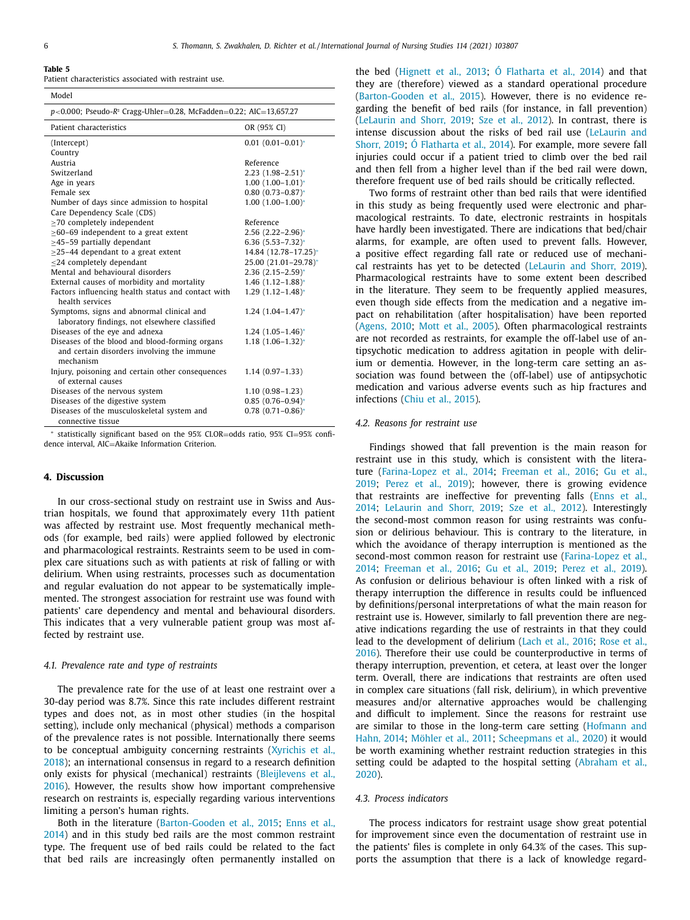Patient characteristics associated with restraint use.

| Model                                                                                                     |                         |
|-----------------------------------------------------------------------------------------------------------|-------------------------|
| $p$ <0.000; Pseudo-R <sup>2</sup> Cragg-Uhler=0.28, McFadden=0.22; AIC=13,657.27                          |                         |
| Patient characteristics                                                                                   | OR (95% CI)             |
| (Intercept)                                                                                               | $0.01(0.01 - 0.01)^*$   |
| Country                                                                                                   |                         |
| Austria                                                                                                   | Reference               |
| Switzerland                                                                                               | 2.23 (1.98-2.51)*       |
| Age in years                                                                                              | $1.00(1.00-1.01)$ *     |
| Female sex                                                                                                | $0.80(0.73 - 0.87)^*$   |
| Number of days since admission to hospital                                                                | $1.00(1.00-1.00)*$      |
| Care Dependency Scale (CDS)                                                                               |                         |
| >70 completely independent                                                                                | Reference               |
| $\geq$ 60–69 independent to a great extent                                                                | 2.56 (2.22-2.96)*       |
| $\geq$ 45-59 partially dependant                                                                          | $6.36(5.53 - 7.32)$ *   |
| $\geq$ 25–44 dependant to a great extent                                                                  | 14.84 (12.78-17.25)*    |
| <24 completely dependant                                                                                  | 25.00 (21.01-29.78)*    |
| Mental and behavioural disorders                                                                          | $2.36$ (2.15-2.59)*     |
| External causes of morbidity and mortality                                                                | $1.46(1.12-1.88)$ *     |
| Factors influencing health status and contact with<br>health services                                     | $1.29(1.12 - 1.48)^{*}$ |
| Symptoms, signs and abnormal clinical and                                                                 | $1.24$ $(1.04-1.47)$ *  |
| laboratory findings, not elsewhere classified                                                             |                         |
| Diseases of the eye and adnexa                                                                            | $1.24$ $(1.05-1.46)$ *  |
| Diseases of the blood and blood-forming organs<br>and certain disorders involving the immune<br>mechanism | $1.18(1.06-1.32)$ *     |
| Injury, poisoning and certain other consequences<br>of external causes                                    | $1.14(0.97-1.33)$       |
| Diseases of the nervous system                                                                            | $1.10(0.98 - 1.23)$     |
| Diseases of the digestive system                                                                          | $0.85(0.76 - 0.94)$ *   |
| Diseases of the musculoskeletal system and<br>connective tissue                                           | $0.78(0.71 - 0.86)^*$   |

<sup>∗</sup> statistically significant based on the 95% CI.OR=odds ratio, 95% CI=95% confidence interval, AIC=Akaike Information Criterion.

## **4. Discussion**

In our cross-sectional study on restraint use in Swiss and Austrian hospitals, we found that approximately every 11th patient was affected by restraint use. Most frequently mechanical methods (for example, bed rails) were applied followed by electronic and pharmacological restraints. Restraints seem to be used in complex care situations such as with patients at risk of falling or with delirium. When using restraints, processes such as documentation and regular evaluation do not appear to be systematically implemented. The strongest association for restraint use was found with patients' care dependency and mental and behavioural disorders. This indicates that a very vulnerable patient group was most affected by restraint use.

### *4.1. Prevalence rate and type of restraints*

The prevalence rate for the use of at least one restraint over a 30-day period was 8.7%. Since this rate includes different restraint types and does not, as in most other studies (in the hospital setting), include only mechanical (physical) methods a comparison of the prevalence rates is not possible. Internationally there seems to be conceptual ambiguity concerning restraints (Xyrichis et al., 2018); an international consensus in regard to a research definition only exists for physical (mechanical) restraints (Bleijlevens et al., 2016). However, the results show how important comprehensive research on restraints is, especially regarding various interventions limiting a person's human rights.

Both in the literature (Barton-Gooden et al., 2015; Enns et al., 2014) and in this study bed rails are the most common restraint type. The frequent use of bed rails could be related to the fact that bed rails are increasingly often permanently installed on

the bed (Hignett et al., 2013; Ó Flatharta et al., 2014) and that they are (therefore) viewed as a standard operational procedure (Barton-Gooden et al., 2015). However, there is no evidence regarding the benefit of bed rails (for instance, in fall prevention) (LeLaurin and Shorr, 2019; Sze et al., 2012). In contrast, there is intense discussion about the risks of bed rail use (LeLaurin and Shorr, 2019; Ó Flatharta et al., 2014). For example, more severe fall injuries could occur if a patient tried to climb over the bed rail and then fell from a higher level than if the bed rail were down, therefore frequent use of bed rails should be critically reflected.

Two forms of restraint other than bed rails that were identified in this study as being frequently used were electronic and pharmacological restraints. To date, electronic restraints in hospitals have hardly been investigated. There are indications that bed/chair alarms, for example, are often used to prevent falls. However, a positive effect regarding fall rate or reduced use of mechanical restraints has yet to be detected (LeLaurin and Shorr, 2019). Pharmacological restraints have to some extent been described in the literature. They seem to be frequently applied measures, even though side effects from the medication and a negative impact on rehabilitation (after hospitalisation) have been reported (Agens, 2010; Mott et al., 2005). Often pharmacological restraints are not recorded as restraints, for example the off-label use of antipsychotic medication to address agitation in people with delirium or dementia. However, in the long-term care setting an association was found between the (off-label) use of antipsychotic medication and various adverse events such as hip fractures and infections (Chiu et al., 2015).

# *4.2. Reasons for restraint use*

Findings showed that fall prevention is the main reason for restraint use in this study, which is consistent with the literature (Farina-Lopez et al., 2014; Freeman et al., 2016; Gu et al., 2019; Perez et al., 2019); however, there is growing evidence that restraints are ineffective for preventing falls (Enns et al., 2014; LeLaurin and Shorr, 2019; Sze et al., 2012). Interestingly the second-most common reason for using restraints was confusion or delirious behaviour. This is contrary to the literature, in which the avoidance of therapy interruption is mentioned as the second-most common reason for restraint use (Farina-Lopez et al., 2014; Freeman et al., 2016; Gu et al., 2019; Perez et al., 2019). As confusion or delirious behaviour is often linked with a risk of therapy interruption the difference in results could be influenced by definitions/personal interpretations of what the main reason for restraint use is. However, similarly to fall prevention there are negative indications regarding the use of restraints in that they could lead to the development of delirium (Lach et al., 2016; Rose et al., 2016). Therefore their use could be counterproductive in terms of therapy interruption, prevention, et cetera, at least over the longer term. Overall, there are indications that restraints are often used in complex care situations (fall risk, delirium), in which preventive measures and/or alternative approaches would be challenging and difficult to implement. Since the reasons for restraint use are similar to those in the long-term care setting (Hofmann and Hahn, 2014; Möhler et al., 2011; Scheepmans et al., 2020) it would be worth examining whether restraint reduction strategies in this setting could be adapted to the hospital setting (Abraham et al., 2020).

# *4.3. Process indicators*

The process indicators for restraint usage show great potential for improvement since even the documentation of restraint use in the patients' files is complete in only 64.3% of the cases. This supports the assumption that there is a lack of knowledge regard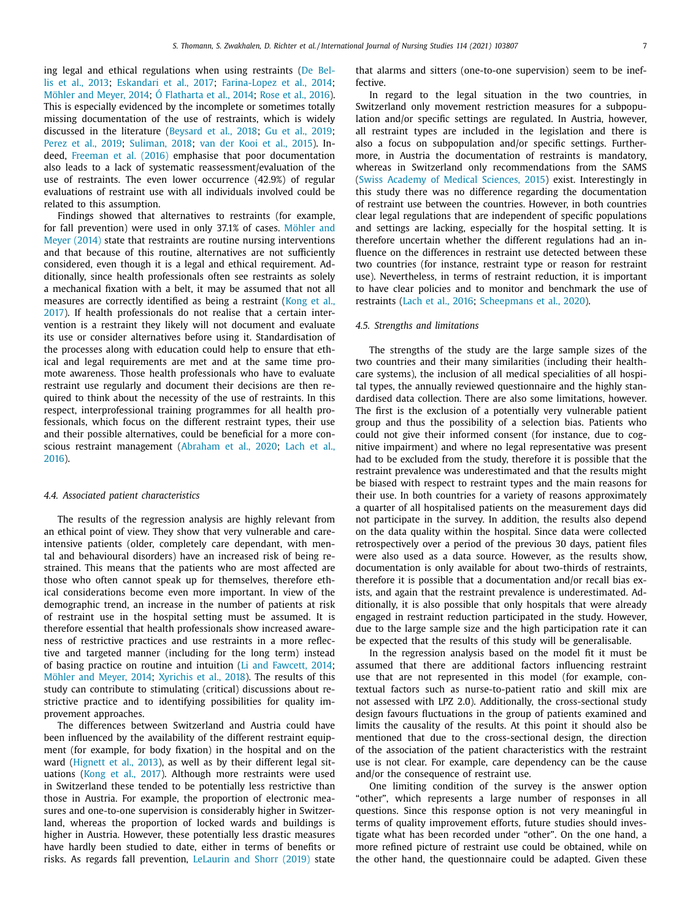ing legal and ethical regulations when using restraints (De Bellis et al., 2013; Eskandari et al., 2017; Farina-Lopez et al., 2014; Möhler and Meyer, 2014; Ó Flatharta et al., 2014; Rose et al., 2016). This is especially evidenced by the incomplete or sometimes totally missing documentation of the use of restraints, which is widely discussed in the literature (Beysard et al., 2018; Gu et al., 2019; Perez et al., 2019; Suliman, 2018; van der Kooi et al., 2015). Indeed, Freeman et al. (2016) emphasise that poor documentation also leads to a lack of systematic reassessment/evaluation of the use of restraints. The even lower occurrence (42.9%) of regular evaluations of restraint use with all individuals involved could be related to this assumption.

Findings showed that alternatives to restraints (for example, for fall prevention) were used in only 37.1% of cases. Möhler and Meyer (2014) state that restraints are routine nursing interventions and that because of this routine, alternatives are not sufficiently considered, even though it is a legal and ethical requirement. Additionally, since health professionals often see restraints as solely a mechanical fixation with a belt, it may be assumed that not all measures are correctly identified as being a restraint (Kong et al., 2017). If health professionals do not realise that a certain intervention is a restraint they likely will not document and evaluate its use or consider alternatives before using it. Standardisation of the processes along with education could help to ensure that ethical and legal requirements are met and at the same time promote awareness. Those health professionals who have to evaluate restraint use regularly and document their decisions are then required to think about the necessity of the use of restraints. In this respect, interprofessional training programmes for all health professionals, which focus on the different restraint types, their use and their possible alternatives, could be beneficial for a more conscious restraint management (Abraham et al., 2020; Lach et al., 2016).

# *4.4. Associated patient characteristics*

The results of the regression analysis are highly relevant from an ethical point of view. They show that very vulnerable and careintensive patients (older, completely care dependant, with mental and behavioural disorders) have an increased risk of being restrained. This means that the patients who are most affected are those who often cannot speak up for themselves, therefore ethical considerations become even more important. In view of the demographic trend, an increase in the number of patients at risk of restraint use in the hospital setting must be assumed. It is therefore essential that health professionals show increased awareness of restrictive practices and use restraints in a more reflective and targeted manner (including for the long term) instead of basing practice on routine and intuition (Li and Fawcett, 2014; Möhler and Meyer, 2014; Xyrichis et al., 2018). The results of this study can contribute to stimulating (critical) discussions about restrictive practice and to identifying possibilities for quality improvement approaches.

The differences between Switzerland and Austria could have been influenced by the availability of the different restraint equipment (for example, for body fixation) in the hospital and on the ward (Hignett et al., 2013), as well as by their different legal situations (Kong et al., 2017). Although more restraints were used in Switzerland these tended to be potentially less restrictive than those in Austria. For example, the proportion of electronic measures and one-to-one supervision is considerably higher in Switzerland, whereas the proportion of locked wards and buildings is higher in Austria. However, these potentially less drastic measures have hardly been studied to date, either in terms of benefits or risks. As regards fall prevention, LeLaurin and Shorr (2019) state that alarms and sitters (one-to-one supervision) seem to be ineffective.

In regard to the legal situation in the two countries, in Switzerland only movement restriction measures for a subpopulation and/or specific settings are regulated. In Austria, however, all restraint types are included in the legislation and there is also a focus on subpopulation and/or specific settings. Furthermore, in Austria the documentation of restraints is mandatory, whereas in Switzerland only recommendations from the SAMS (Swiss Academy of Medical Sciences, 2015) exist. Interestingly in this study there was no difference regarding the documentation of restraint use between the countries. However, in both countries clear legal regulations that are independent of specific populations and settings are lacking, especially for the hospital setting. It is therefore uncertain whether the different regulations had an influence on the differences in restraint use detected between these two countries (for instance, restraint type or reason for restraint use). Nevertheless, in terms of restraint reduction, it is important to have clear policies and to monitor and benchmark the use of restraints (Lach et al., 2016; Scheepmans et al., 2020).

# *4.5. Strengths and limitations*

The strengths of the study are the large sample sizes of the two countries and their many similarities (including their healthcare systems), the inclusion of all medical specialities of all hospital types, the annually reviewed questionnaire and the highly standardised data collection. There are also some limitations, however. The first is the exclusion of a potentially very vulnerable patient group and thus the possibility of a selection bias. Patients who could not give their informed consent (for instance, due to cognitive impairment) and where no legal representative was present had to be excluded from the study, therefore it is possible that the restraint prevalence was underestimated and that the results might be biased with respect to restraint types and the main reasons for their use. In both countries for a variety of reasons approximately a quarter of all hospitalised patients on the measurement days did not participate in the survey. In addition, the results also depend on the data quality within the hospital. Since data were collected retrospectively over a period of the previous 30 days, patient files were also used as a data source. However, as the results show, documentation is only available for about two-thirds of restraints, therefore it is possible that a documentation and/or recall bias exists, and again that the restraint prevalence is underestimated. Additionally, it is also possible that only hospitals that were already engaged in restraint reduction participated in the study. However, due to the large sample size and the high participation rate it can be expected that the results of this study will be generalisable.

In the regression analysis based on the model fit it must be assumed that there are additional factors influencing restraint use that are not represented in this model (for example, contextual factors such as nurse-to-patient ratio and skill mix are not assessed with LPZ 2.0). Additionally, the cross-sectional study design favours fluctuations in the group of patients examined and limits the causality of the results. At this point it should also be mentioned that due to the cross-sectional design, the direction of the association of the patient characteristics with the restraint use is not clear. For example, care dependency can be the cause and/or the consequence of restraint use.

One limiting condition of the survey is the answer option "other", which represents a large number of responses in all questions. Since this response option is not very meaningful in terms of quality improvement efforts, future studies should investigate what has been recorded under "other". On the one hand, a more refined picture of restraint use could be obtained, while on the other hand, the questionnaire could be adapted. Given these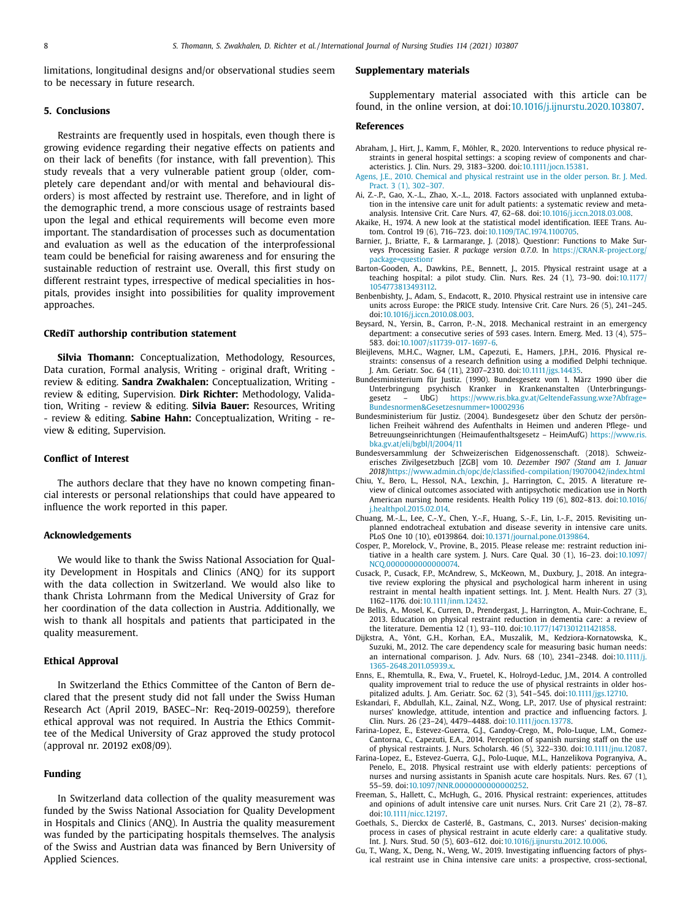limitations, longitudinal designs and/or observational studies seem to be necessary in future research.

# **5. Conclusions**

Restraints are frequently used in hospitals, even though there is growing evidence regarding their negative effects on patients and on their lack of benefits (for instance, with fall prevention). This study reveals that a very vulnerable patient group (older, completely care dependant and/or with mental and behavioural disorders) is most affected by restraint use. Therefore, and in light of the demographic trend, a more conscious usage of restraints based upon the legal and ethical requirements will become even more important. The standardisation of processes such as documentation and evaluation as well as the education of the interprofessional team could be beneficial for raising awareness and for ensuring the sustainable reduction of restraint use. Overall, this first study on different restraint types, irrespective of medical specialities in hospitals, provides insight into possibilities for quality improvement approaches.

# **CRediT authorship contribution statement**

**Silvia Thomann:** Conceptualization, Methodology, Resources, Data curation, Formal analysis, Writing - original draft, Writing review & editing. **Sandra Zwakhalen:** Conceptualization, Writing review & editing, Supervision. **Dirk Richter:** Methodology, Validation, Writing - review & editing. **Silvia Bauer:** Resources, Writing - review & editing. **Sabine Hahn:** Conceptualization, Writing - review & editing, Supervision.

# **Conflict of Interest**

The authors declare that they have no known competing financial interests or personal relationships that could have appeared to influence the work reported in this paper.

# **Acknowledgements**

We would like to thank the Swiss National Association for Quality Development in Hospitals and Clinics (ANQ) for its support with the data collection in Switzerland. We would also like to thank Christa Lohrmann from the Medical University of Graz for her coordination of the data collection in Austria. Additionally, we wish to thank all hospitals and patients that participated in the quality measurement.

#### **Ethical Approval**

In Switzerland the Ethics Committee of the Canton of Bern declared that the present study did not fall under the Swiss Human Research Act (April 2019, BASEC–Nr: Req-2019-00259), therefore ethical approval was not required. In Austria the Ethics Committee of the Medical University of Graz approved the study protocol (approval nr. 20192 ex08/09).

# **Funding**

In Switzerland data collection of the quality measurement was funded by the Swiss National Association for Quality Development in Hospitals and Clinics (ANQ). In Austria the quality measurement was funded by the participating hospitals themselves. The analysis of the Swiss and Austrian data was financed by Bern University of Applied Sciences.

# **Supplementary materials**

Supplementary material associated with this article can be found, in the online version, at doi[:10.1016/j.ijnurstu.2020.103807.](https://doi.org/10.1016/j.ijnurstu.2020.103807)

## **References**

- Abraham, J., Hirt, J., Kamm, F., Möhler, R., 2020. Interventions to reduce physical restraints in general hospital settings: a scoping review of components and characteristics. J. Clin. Nurs. 29, 3183–3200. doi[:10.1111/jocn.15381.](https://doi.org/10.1111/jocn.15381)
- [Agens,](http://refhub.elsevier.com/S0020-7489(20)30293-5/sbref0002) J.E., 2010. Chemical and physical restraint use in the older person. Br. J. Med. Pract. 3 (1), [302–307.](http://refhub.elsevier.com/S0020-7489(20)30293-5/sbref0002)
- Ai,  $Z P$ , Gao,  $X L$ , Zhao,  $X L$ , 2018. Factors associated with unplanned extubation in the intensive care unit for adult patients: a systematic review and metaanalysis. Intensive Crit. Care Nurs. 47, 62–68. doi[:10.1016/j.iccn.2018.03.008.](https://doi.org/10.1016/j.iccn.2018.03.008)
- Akaike, H., 1974. A new look at the statistical model identification. IEEE Trans. Autom. Control 19 (6), 716–723. doi[:10.1109/TAC.1974.1100705.](https://doi.org/10.1109/TAC.1974.1100705)
- Barnier, J., Briatte, F., & Larmarange, J. (2018). Questionr: Functions to Make Surveys Processing Easier. *R package version 0.7.0*. In [https://CRAN.R-project.org/](https://CRAN.R-project.org/package=questionr) package=questionr
- Barton-Gooden, A., Dawkins, P.E., Bennett, J., 2015. Physical restraint usage at a teaching hospital: a pilot study. Clin. Nurs. Res. 24 (1), 73–90. doi:10.1177/ [1054773813493112.](https://doi.org/10.1177/1054773813493112)
- Benbenbishty, J., Adam, S., Endacott, R., 2010. Physical restraint use in intensive care units across Europe: the PRICE study. Intensive Crit. Care Nurs. 26 (5), 241–245. doi[:10.1016/j.iccn.2010.08.003.](https://doi.org/10.1016/j.iccn.2010.08.003)
- Beysard, N., Yersin, B., Carron, P.-.N., 2018. Mechanical restraint in an emergency department: a consecutive series of 593 cases. Intern. Emerg. Med. 13 (4), 575– 583. doi[:10.1007/s11739-017-1697-6.](https://doi.org/10.1007/s11739-017-1697-6)
- Bleijlevens, M.H.C., Wagner, L.M., Capezuti, E., Hamers, J.P.H., 2016. Physical restraints: consensus of a research definition using a modified Delphi technique. J. Am. Geriatr. Soc. 64 (11), 2307–2310. doi[:10.1111/jgs.14435.](https://doi.org/10.1111/jgs.14435)
- Bundesministerium für Justiz. (1990). Bundesgesetz vom 1. März 1990 über die Unterbringung psychisch Kranker in Krankenanstalten (Unterbringungsgesetz – UbG) [https://www.ris.bka.gv.at/GeltendeFassung.wxe?Abfrage=](https://www.ris.bka.gv.at/GeltendeFassung.wxe?Abfrage=Bundesnormen&Gesetzesnummer=10002936) Bundesnormen&Gesetzesnummer=10002936
- Bundesministerium für Justiz. (2004). Bundesgesetz über den Schutz der persönlichen Freiheit während des Aufenthalts in Heimen und anderen Pflege- und Betreuungseinrichtungen (Heimaufenthaltsgesetz – HeimAufG) https://www.ris. [bka.gv.at/eli/bgbl/I/2004/11](https://www.ris.bka.gv.at/eli/bgbl/I/2004/11)
- Bundesversammlung der Schweizerischen Eidgenossenschaft. (2018). Schweizerisches Zivilgesetzbuch [ZGB] vom 10. *Dezember 1907 (Stand am 1. Januar 2018)*<https://www.admin.ch/opc/de/classified-compilation/19070042/index.html>
- Chiu, Y., Bero, L., Hessol, N.A., Lexchin, J., Harrington, C., 2015. A literature review of clinical outcomes associated with antipsychotic medication use in North American nursing home residents. Health Policy 119 (6), 802-813. doi:10.1016/ [j.healthpol.2015.02.014.](https://doi.org/10.1016/j.healthpol.2015.02.014)
- Chuang, M.-.L., Lee, C.-.Y., Chen, Y.-.F., Huang, S.-.F., Lin, I.-.F., 2015. Revisiting unplanned endotracheal extubation and disease severity in intensive care units. PLoS One 10 (10), e0139864. doi[:10.1371/journal.pone.0139864.](https://doi.org/10.1371/journal.pone.0139864)
- Cosper, P., Morelock, V., Provine, B., 2015. Please release me: restraint reduction initiative in a health care system. J. Nurs. Care Qual. 30 (1), 16–23. doi:10.1097/ [NCQ.0000000000000074.](https://doi.org/10.1097/NCQ.0000000000000074)
- Cusack, P., Cusack, F.P., McAndrew, S., McKeown, M., Duxbury, J., 2018. An integrative review exploring the physical and psychological harm inherent in using restraint in mental health inpatient settings. Int. J. Ment. Health Nurs. 27 (3), 1162–1176. doi[:10.1111/inm.12432.](https://doi.org/10.1111/inm.12432)
- De Bellis, A., Mosel, K., Curren, D., Prendergast, J., Harrington, A., Muir-Cochrane, E., 2013. Education on physical restraint reduction in dementia care: a review of the literature. Dementia 12 (1), 93–110. doi[:10.1177/1471301211421858.](https://doi.org/10.1177/1471301211421858)
- Dijkstra, A., Yönt, G.H., Korhan, E.A., Muszalik, M., Kedziora-Kornatowska, K., Suzuki, M., 2012. The care dependency scale for measuring basic human needs: an international comparison. J. Adv. Nurs. 68 (10), 2341–2348. doi:10.1111/j. [1365-2648.2011.05939.x.](https://doi.org/10.1111/j.1365-2648.2011.05939.x)
- Enns, E., Rhemtulla, R., Ewa, V., Fruetel, K., Holroyd-Leduc, J.M., 2014. A controlled quality improvement trial to reduce the use of physical restraints in older hospitalized adults. J. Am. Geriatr. Soc. 62 (3), 541–545. doi[:10.1111/jgs.12710.](https://doi.org/10.1111/jgs.12710)
- Eskandari, F., Abdullah, K.L., Zainal, N.Z., Wong, L.P., 2017. Use of physical restraint: nurses' knowledge, attitude, intention and practice and influencing factors. J. Clin. Nurs. 26 (23–24), 4479–4488. doi[:10.1111/jocn.13778.](https://doi.org/10.1111/jocn.13778)
- Farina-Lopez, E., Estevez-Guerra, G.J., Gandoy-Crego, M., Polo-Luque, L.M., Gomez-Cantorna, C., Capezuti, E.A., 2014. Perception of spanish nursing staff on the use of physical restraints. J. Nurs. Scholarsh. 46 (5), 322–330. doi[:10.1111/jnu.12087.](https://doi.org/10.1111/jnu.12087)
- Farina-Lopez, E., Estevez-Guerra, G.J., Polo-Luque, M.L., Hanzelikova Pogranyiva, A., Penelo, E., 2018. Physical restraint use with elderly patients: perceptions of nurses and nursing assistants in Spanish acute care hospitals. Nurs. Res. 67 (1), 55–59. doi[:10.1097/NNR.0000000000000252.](https://doi.org/10.1097/NNR.0000000000000252)
- Freeman, S., Hallett, C., McHugh, G., 2016. Physical restraint: experiences, attitudes and opinions of adult intensive care unit nurses. Nurs. Crit Care 21 (2), 78–87. doi[:10.1111/nicc.12197.](https://doi.org/10.1111/nicc.12197)
- Goethals, S., Dierckx de Casterlé, B., Gastmans, C., 2013. Nurses' decision-making process in cases of physical restraint in acute elderly care: a qualitative study. Int. J. Nurs. Stud. 50 (5), 603–612. doi[:10.1016/j.ijnurstu.2012.10.006.](https://doi.org/10.1016/j.ijnurstu.2012.10.006)
- Gu, T., Wang, X., Deng, N., Weng, W., 2019. Investigating influencing factors of physical restraint use in China intensive care units: a prospective, cross-sectional,